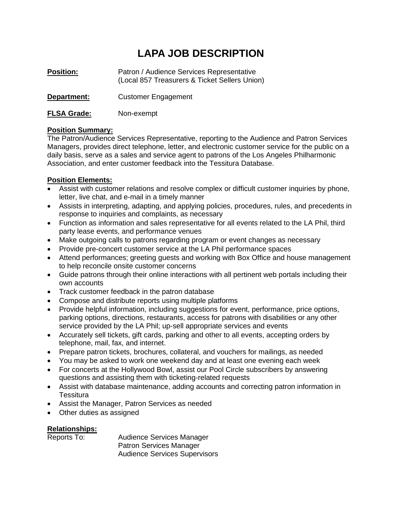# **LAPA JOB DESCRIPTION**

- **Position:** Patron / Audience Services Representative (Local 857 Treasurers & Ticket Sellers Union)
- **Department:** Customer Engagement
- **FLSA Grade:** Non-exempt

## **Position Summary:**

The Patron/Audience Services Representative, reporting to the Audience and Patron Services Managers, provides direct telephone, letter, and electronic customer service for the public on a daily basis, serve as a sales and service agent to patrons of the Los Angeles Philharmonic Association, and enter customer feedback into the Tessitura Database.

## **Position Elements:**

- Assist with customer relations and resolve complex or difficult customer inquiries by phone, letter, live chat, and e-mail in a timely manner
- Assists in interpreting, adapting, and applying policies, procedures, rules, and precedents in response to inquiries and complaints, as necessary
- Function as information and sales representative for all events related to the LA Phil, third party lease events, and performance venues
- Make outgoing calls to patrons regarding program or event changes as necessary
- Provide pre-concert customer service at the LA Phil performance spaces
- Attend performances; greeting guests and working with Box Office and house management to help reconcile onsite customer concerns
- Guide patrons through their online interactions with all pertinent web portals including their own accounts
- Track customer feedback in the patron database
- Compose and distribute reports using multiple platforms
- Provide helpful information, including suggestions for event, performance, price options, parking options, directions, restaurants, access for patrons with disabilities or any other service provided by the LA Phil; up-sell appropriate services and events
- Accurately sell tickets, gift cards, parking and other to all events, accepting orders by telephone, mail, fax, and internet.
- Prepare patron tickets, brochures, collateral, and vouchers for mailings, as needed
- You may be asked to work one weekend day and at least one evening each week
- For concerts at the Hollywood Bowl, assist our Pool Circle subscribers by answering questions and assisting them with ticketing-related requests
- Assist with database maintenance, adding accounts and correcting patron information in **Tessitura**
- Assist the Manager, Patron Services as needed
- Other duties as assigned

#### **Relationships:**

Reports To: Audience Services Manager Patron Services Manager Audience Services Supervisors